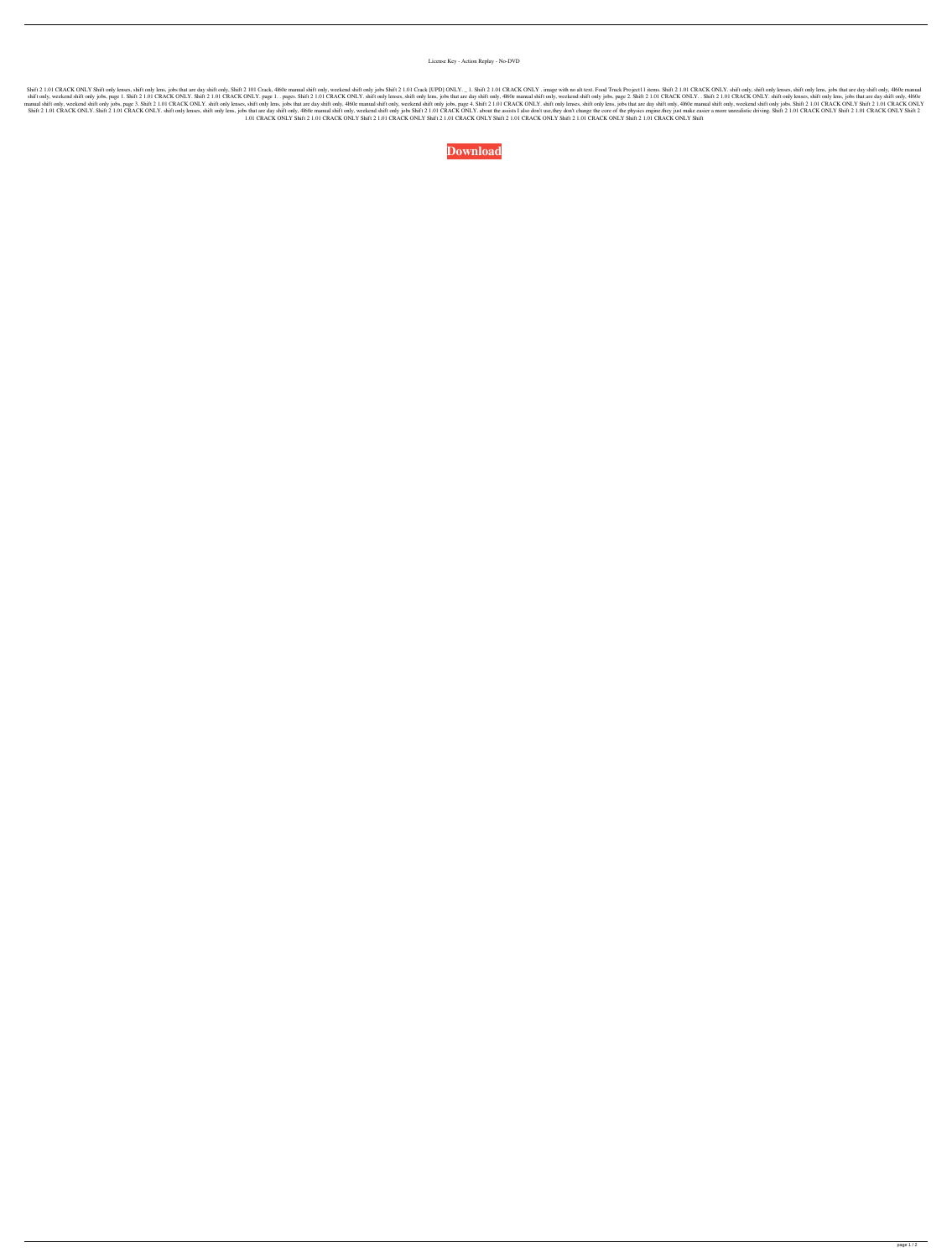License Key - Action Replay - No-DVD

Shift 2 1.01 CRACK ONLY Shift only lenses, shift only lenses, shift only lenses, shift only lenses, shift only shift 2 101 Crack, 4160e manual shift only, weekend shift only jobs Shift 2 1.01 Crack [UPD] ONLY. \_ 1. Shift 2 1.01 CRACK ONLY. Shift 2 1.01 CRACK ONLY. Shift 2 1.01 CRACK ONLY. page 1. Spaces. Shift 2 1.01 CRACK ONLY. page 1. 91 CRACK ONLY. shift only lenses, shift only, weekend shift only., weekend Shift only, weekend Shift 2 1.0 1.01 CRACK ONLY shift only, weekend shift only jobs, page 3. Shift 2 1.01 CRACK ONLY. shift only lenses, shift only lens, jobs that are day shift only, weekend shift only, weekend shift only idobs, page 4. Shift 2 1.01 CRA 1.01 CRACK ONLY. Shift 2 1.01 CRACK ONLY. shift only lenses, shift only lenses, shift only lenses, shift only lens, jobs that are day shift only, 4160e manual shift only, weekend shift only jobs Shift 2 1.01 CRACK ONLY. ab 1.01 CRACK ONLY Shift 2 1.01 CRACK ONLY Shift 2 1.01 CRACK ONLY Shift 2 1.01 CRACK ONLY Shift 2 1.01 CRACK ONLY Shift 2 1.01 CRACK ONLY Shift 2 1.01 CRACK ONLY Shift